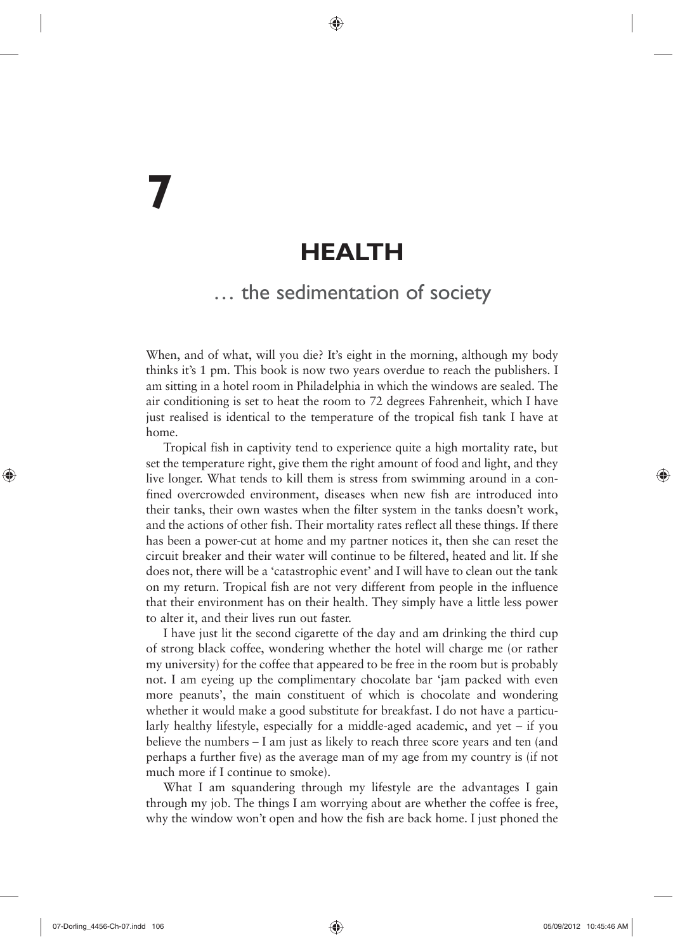⊕

# … the sedimentation of society

When, and of what, will you die? It's eight in the morning, although my body thinks it's 1 pm. This book is now two years overdue to reach the publishers. I am sitting in a hotel room in Philadelphia in which the windows are sealed. The air conditioning is set to heat the room to 72 degrees Fahrenheit, which I have just realised is identical to the temperature of the tropical fish tank I have at home.

Tropical fish in captivity tend to experience quite a high mortality rate, but set the temperature right, give them the right amount of food and light, and they live longer. What tends to kill them is stress from swimming around in a confined overcrowded environment, diseases when new fish are introduced into their tanks, their own wastes when the filter system in the tanks doesn't work, and the actions of other fish. Their mortality rates reflect all these things. If there has been a power-cut at home and my partner notices it, then she can reset the circuit breaker and their water will continue to be filtered, heated and lit. If she does not, there will be a 'catastrophic event' and I will have to clean out the tank on my return. Tropical fish are not very different from people in the influence that their environment has on their health. They simply have a little less power to alter it, and their lives run out faster.

I have just lit the second cigarette of the day and am drinking the third cup of strong black coffee, wondering whether the hotel will charge me (or rather my university) for the coffee that appeared to be free in the room but is probably not. I am eyeing up the complimentary chocolate bar 'jam packed with even more peanuts', the main constituent of which is chocolate and wondering whether it would make a good substitute for breakfast. I do not have a particularly healthy lifestyle, especially for a middle-aged academic, and yet – if you believe the numbers – I am just as likely to reach three score years and ten (and perhaps a further five) as the average man of my age from my country is (if not much more if I continue to smoke).

What I am squandering through my lifestyle are the advantages I gain through my job. The things I am worrying about are whether the coffee is free, why the window won't open and how the fish are back home. I just phoned the

♠

**7**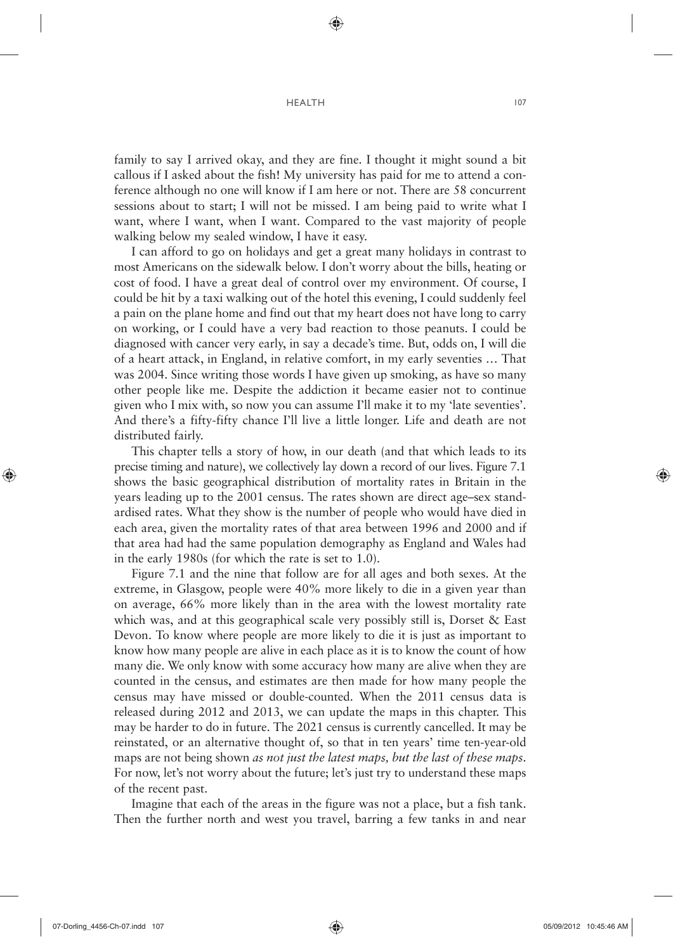♠

family to say I arrived okay, and they are fine. I thought it might sound a bit callous if I asked about the fish! My university has paid for me to attend a conference although no one will know if I am here or not. There are 58 concurrent sessions about to start; I will not be missed. I am being paid to write what I want, where I want, when I want. Compared to the vast majority of people walking below my sealed window, I have it easy.

I can afford to go on holidays and get a great many holidays in contrast to most Americans on the sidewalk below. I don't worry about the bills, heating or cost of food. I have a great deal of control over my environment. Of course, I could be hit by a taxi walking out of the hotel this evening, I could suddenly feel a pain on the plane home and find out that my heart does not have long to carry on working, or I could have a very bad reaction to those peanuts. I could be diagnosed with cancer very early, in say a decade's time. But, odds on, I will die of a heart attack, in England, in relative comfort, in my early seventies … That was 2004. Since writing those words I have given up smoking, as have so many other people like me. Despite the addiction it became easier not to continue given who I mix with, so now you can assume I'll make it to my 'late seventies'. And there's a fifty-fifty chance I'll live a little longer. Life and death are not distributed fairly.

This chapter tells a story of how, in our death (and that which leads to its precise timing and nature), we collectively lay down a record of our lives. Figure 7.1 shows the basic geographical distribution of mortality rates in Britain in the years leading up to the 2001 census. The rates shown are direct age–sex standardised rates. What they show is the number of people who would have died in each area, given the mortality rates of that area between 1996 and 2000 and if that area had had the same population demography as England and Wales had in the early 1980s (for which the rate is set to 1.0).

Figure 7.1 and the nine that follow are for all ages and both sexes. At the extreme, in Glasgow, people were 40% more likely to die in a given year than on average, 66% more likely than in the area with the lowest mortality rate which was, and at this geographical scale very possibly still is, Dorset & East Devon. To know where people are more likely to die it is just as important to know how many people are alive in each place as it is to know the count of how many die. We only know with some accuracy how many are alive when they are counted in the census, and estimates are then made for how many people the census may have missed or double-counted. When the 2011 census data is released during 2012 and 2013, we can update the maps in this chapter. This may be harder to do in future. The 2021 census is currently cancelled. It may be reinstated, or an alternative thought of, so that in ten years' time ten-year-old maps are not being shown *as not just the latest maps, but the last of these maps*. For now, let's not worry about the future; let's just try to understand these maps of the recent past.

Imagine that each of the areas in the figure was not a place, but a fish tank. Then the further north and west you travel, barring a few tanks in and near

⊕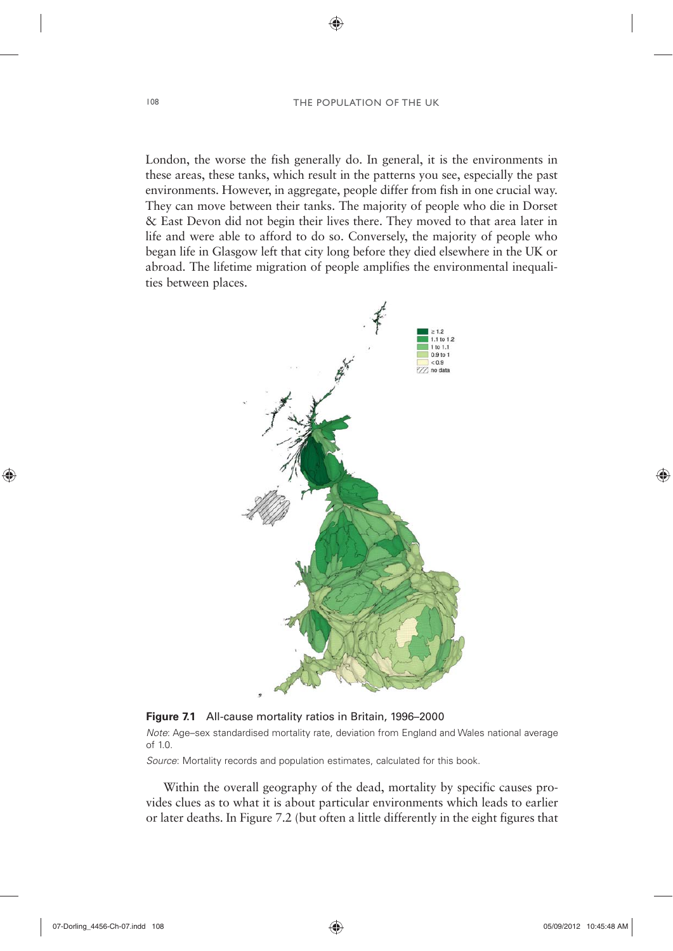London, the worse the fish generally do. In general, it is the environments in these areas, these tanks, which result in the patterns you see, especially the past environments. However, in aggregate, people differ from fish in one crucial way. They can move between their tanks. The majority of people who die in Dorset & East Devon did not begin their lives there. They moved to that area later in life and were able to afford to do so. Conversely, the majority of people who began life in Glasgow left that city long before they died elsewhere in the UK or abroad. The lifetime migration of people amplifies the environmental inequalities between places.



**Figure 7.1** All-cause mortality ratios in Britain, 1996–2000 Note: Age–sex standardised mortality rate, deviation from England and Wales national average of 1.0.

Source: Mortality records and population estimates, calculated for this book.

Within the overall geography of the dead, mortality by specific causes provides clues as to what it is about particular environments which leads to earlier or later deaths. In Figure 7.2 (but often a little differently in the eight figures that

◈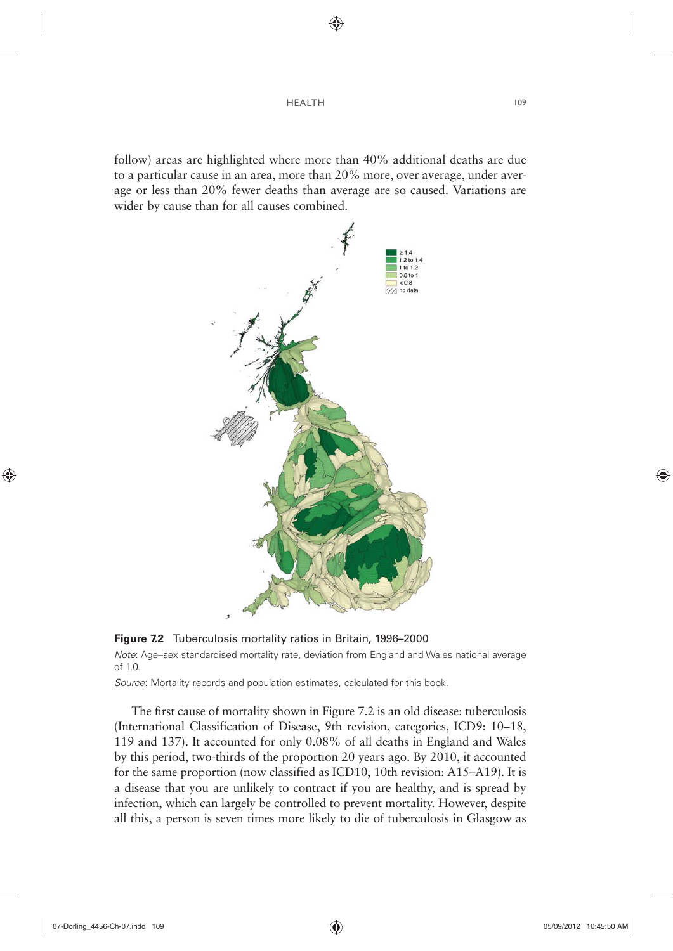♠

follow) areas are highlighted where more than 40% additional deaths are due to a particular cause in an area, more than 20% more, over average, under average or less than 20% fewer deaths than average are so caused. Variations are wider by cause than for all causes combined.





Source: Mortality records and population estimates, calculated for this book.

The first cause of mortality shown in Figure 7.2 is an old disease: tuberculosis (International Classification of Disease, 9th revision, categories, ICD9: 10–18, 119 and 137). It accounted for only 0.08% of all deaths in England and Wales by this period, two-thirds of the proportion 20 years ago. By 2010, it accounted for the same proportion (now classified as ICD10, 10th revision: A15–A19). It is a disease that you are unlikely to contract if you are healthy, and is spread by infection, which can largely be controlled to prevent mortality. However, despite all this, a person is seven times more likely to die of tuberculosis in Glasgow as

◈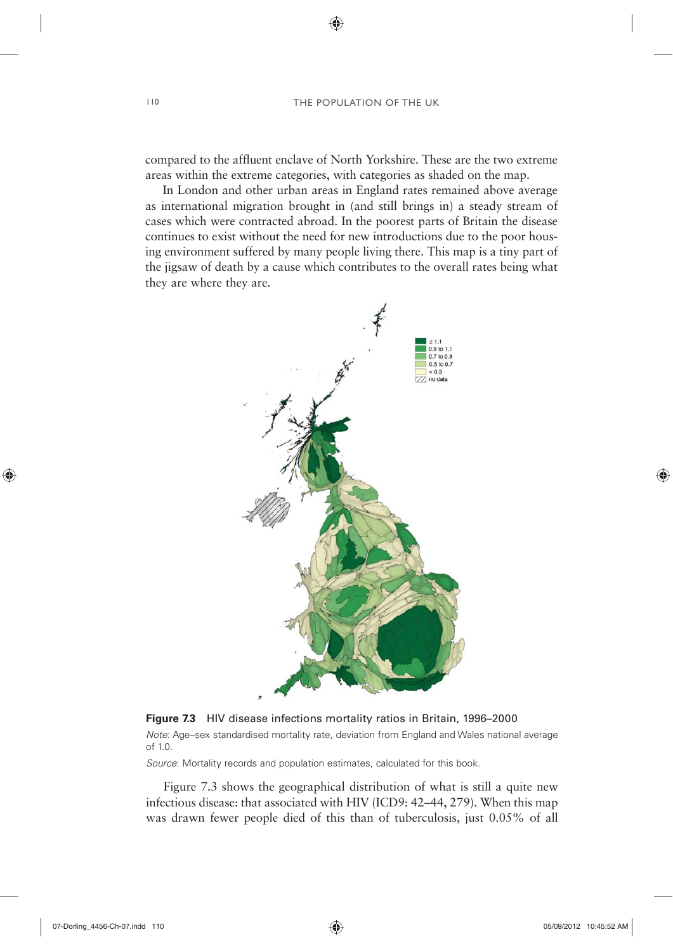compared to the affluent enclave of North Yorkshire. These are the two extreme areas within the extreme categories, with categories as shaded on the map.

In London and other urban areas in England rates remained above average as international migration brought in (and still brings in) a steady stream of cases which were contracted abroad. In the poorest parts of Britain the disease continues to exist without the need for new introductions due to the poor housing environment suffered by many people living there. This map is a tiny part of the jigsaw of death by a cause which contributes to the overall rates being what they are where they are.





Source: Mortality records and population estimates, calculated for this book.

Figure 7.3 shows the geographical distribution of what is still a quite new infectious disease: that associated with HIV (ICD9: 42–44, 279). When this map was drawn fewer people died of this than of tuberculosis, just 0.05% of all

◈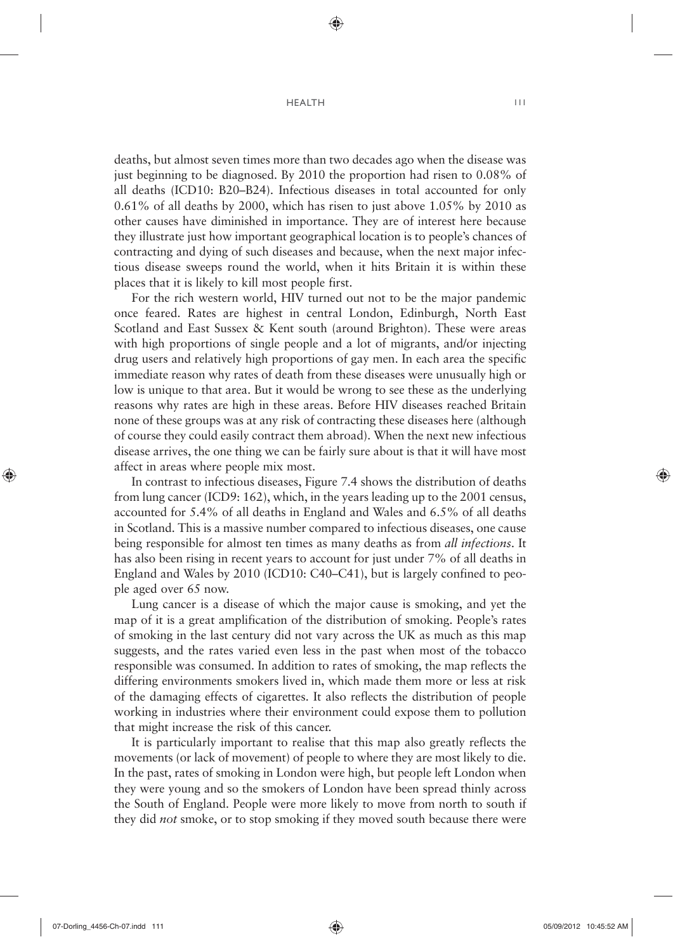♠

deaths, but almost seven times more than two decades ago when the disease was just beginning to be diagnosed. By 2010 the proportion had risen to 0.08% of all deaths (ICD10: B20–B24). Infectious diseases in total accounted for only 0.61% of all deaths by 2000, which has risen to just above 1.05% by 2010 as other causes have diminished in importance. They are of interest here because they illustrate just how important geographical location is to people's chances of contracting and dying of such diseases and because, when the next major infectious disease sweeps round the world, when it hits Britain it is within these places that it is likely to kill most people first.

For the rich western world, HIV turned out not to be the major pandemic once feared. Rates are highest in central London, Edinburgh, North East Scotland and East Sussex & Kent south (around Brighton). These were areas with high proportions of single people and a lot of migrants, and/or injecting drug users and relatively high proportions of gay men. In each area the specific immediate reason why rates of death from these diseases were unusually high or low is unique to that area. But it would be wrong to see these as the underlying reasons why rates are high in these areas. Before HIV diseases reached Britain none of these groups was at any risk of contracting these diseases here (although of course they could easily contract them abroad). When the next new infectious disease arrives, the one thing we can be fairly sure about is that it will have most affect in areas where people mix most.

In contrast to infectious diseases, Figure 7.4 shows the distribution of deaths from lung cancer (ICD9: 162), which, in the years leading up to the 2001 census, accounted for 5.4% of all deaths in England and Wales and 6.5% of all deaths in Scotland. This is a massive number compared to infectious diseases, one cause being responsible for almost ten times as many deaths as from *all infections*. It has also been rising in recent years to account for just under 7% of all deaths in England and Wales by 2010 (ICD10: C40–C41), but is largely confined to people aged over 65 now.

Lung cancer is a disease of which the major cause is smoking, and yet the map of it is a great amplification of the distribution of smoking. People's rates of smoking in the last century did not vary across the UK as much as this map suggests, and the rates varied even less in the past when most of the tobacco responsible was consumed. In addition to rates of smoking, the map reflects the differing environments smokers lived in, which made them more or less at risk of the damaging effects of cigarettes. It also reflects the distribution of people working in industries where their environment could expose them to pollution that might increase the risk of this cancer.

It is particularly important to realise that this map also greatly reflects the movements (or lack of movement) of people to where they are most likely to die. In the past, rates of smoking in London were high, but people left London when they were young and so the smokers of London have been spread thinly across the South of England. People were more likely to move from north to south if they did *not* smoke, or to stop smoking if they moved south because there were

⊕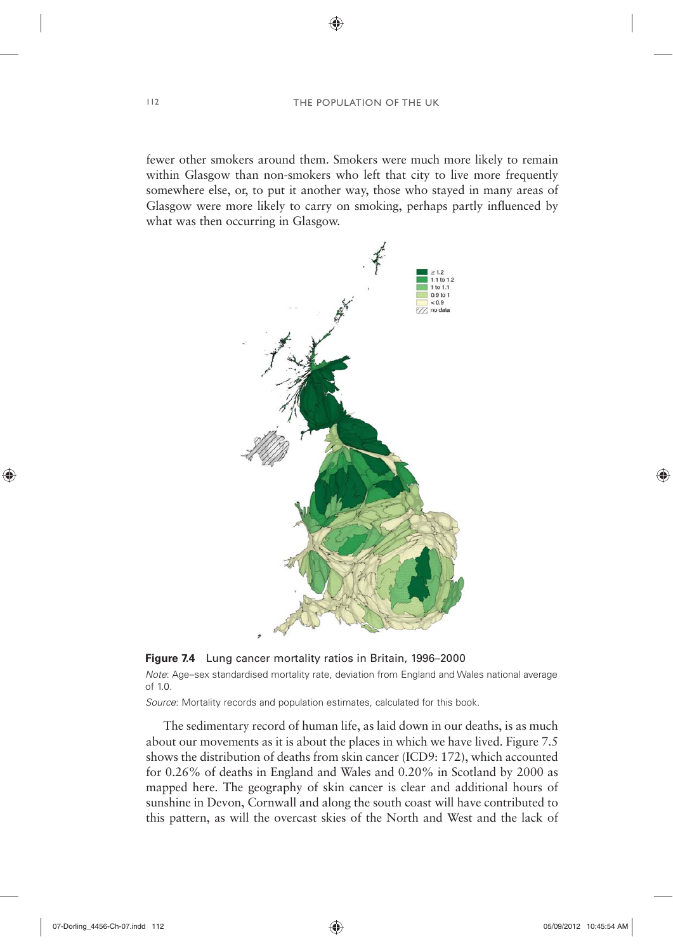fewer other smokers around them. Smokers were much more likely to remain within Glasgow than non-smokers who left that city to live more frequently somewhere else, or, to put it another way, those who stayed in many areas of Glasgow were more likely to carry on smoking, perhaps partly influenced by what was then occurring in Glasgow.





Source: Mortality records and population estimates, calculated for this book.

The sedimentary record of human life, as laid down in our deaths, is as much about our movements as it is about the places in which we have lived. Figure 7.5 shows the distribution of deaths from skin cancer (ICD9: 172), which accounted for 0.26% of deaths in England and Wales and 0.20% in Scotland by 2000 as mapped here. The geography of skin cancer is clear and additional hours of sunshine in Devon, Cornwall and along the south coast will have contributed to this pattern, as will the overcast skies of the North and West and the lack of

◈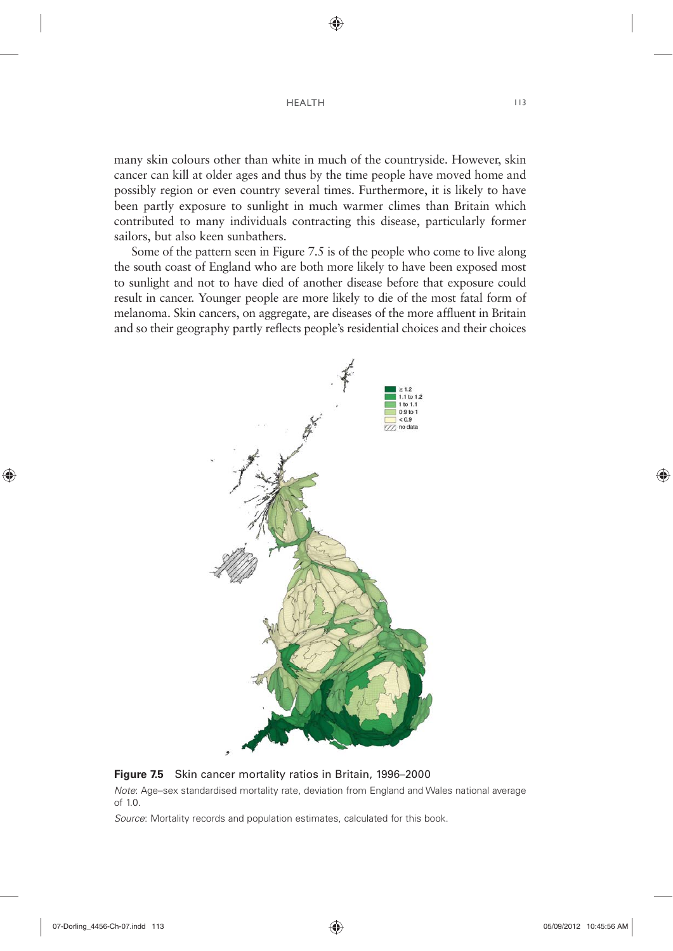♠

many skin colours other than white in much of the countryside. However, skin cancer can kill at older ages and thus by the time people have moved home and possibly region or even country several times. Furthermore, it is likely to have been partly exposure to sunlight in much warmer climes than Britain which contributed to many individuals contracting this disease, particularly former sailors, but also keen sunbathers.

Some of the pattern seen in Figure 7.5 is of the people who come to live along the south coast of England who are both more likely to have been exposed most to sunlight and not to have died of another disease before that exposure could result in cancer. Younger people are more likely to die of the most fatal form of melanoma. Skin cancers, on aggregate, are diseases of the more affluent in Britain and so their geography partly reflects people's residential choices and their choices



**Figure 7.5** Skin cancer mortality ratios in Britain, 1996–2000

Note: Age–sex standardised mortality rate, deviation from England and Wales national average of 1.0.

Source: Mortality records and population estimates, calculated for this book.

◈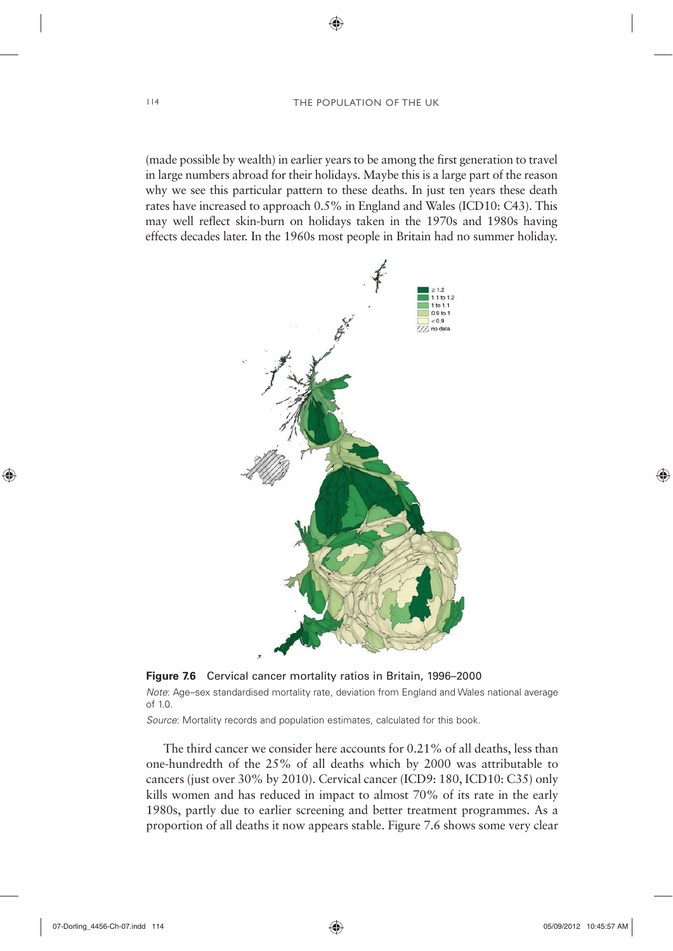#### 114 THE POPULATION OF THE UK

♠

(made possible by wealth) in earlier years to be among the first generation to travel in large numbers abroad for their holidays. Maybe this is a large part of the reason why we see this particular pattern to these deaths. In just ten years these death rates have increased to approach 0.5% in England and Wales (ICD10: C43). This may well reflect skin-burn on holidays taken in the 1970s and 1980s having effects decades later. In the 1960s most people in Britain had no summer holiday.





Source: Mortality records and population estimates, calculated for this book.

The third cancer we consider here accounts for 0.21% of all deaths, less than one-hundredth of the 25% of all deaths which by 2000 was attributable to cancers (just over 30% by 2010). Cervical cancer (ICD9: 180, ICD10: C35) only kills women and has reduced in impact to almost 70% of its rate in the early 1980s, partly due to earlier screening and better treatment programmes. As a proportion of all deaths it now appears stable. Figure 7.6 shows some very clear

◈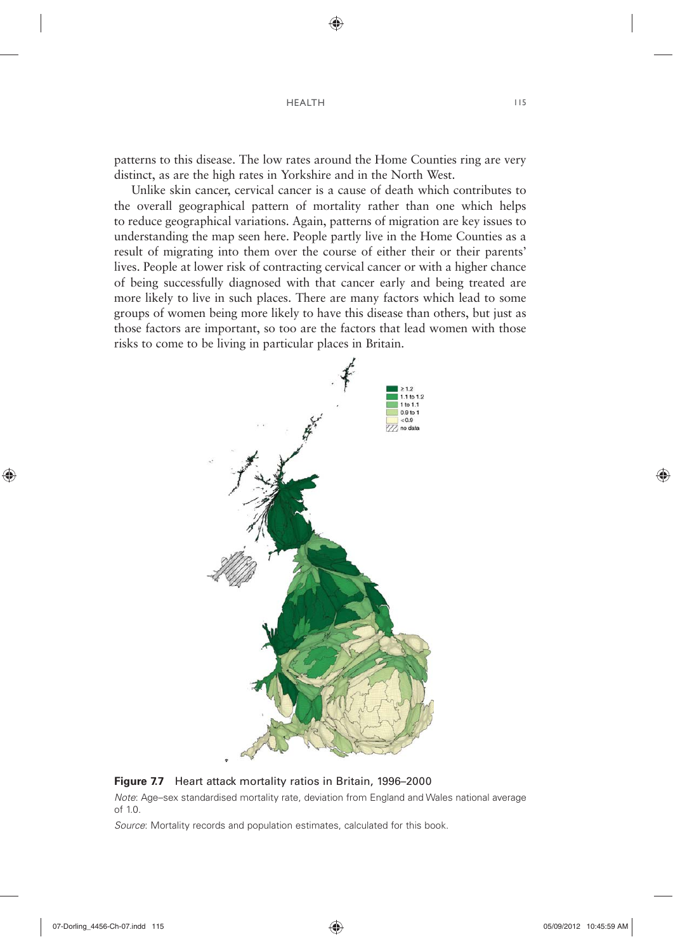patterns to this disease. The low rates around the Home Counties ring are very distinct, as are the high rates in Yorkshire and in the North West.

♠

Unlike skin cancer, cervical cancer is a cause of death which contributes to the overall geographical pattern of mortality rather than one which helps to reduce geographical variations. Again, patterns of migration are key issues to understanding the map seen here. People partly live in the Home Counties as a result of migrating into them over the course of either their or their parents' lives. People at lower risk of contracting cervical cancer or with a higher chance of being successfully diagnosed with that cancer early and being treated are more likely to live in such places. There are many factors which lead to some groups of women being more likely to have this disease than others, but just as those factors are important, so too are the factors that lead women with those risks to come to be living in particular places in Britain.



**Figure 7.7** Heart attack mortality ratios in Britain, 1996–2000

Note: Age–sex standardised mortality rate, deviation from England and Wales national average of 1.0.

Source: Mortality records and population estimates, calculated for this book.

◈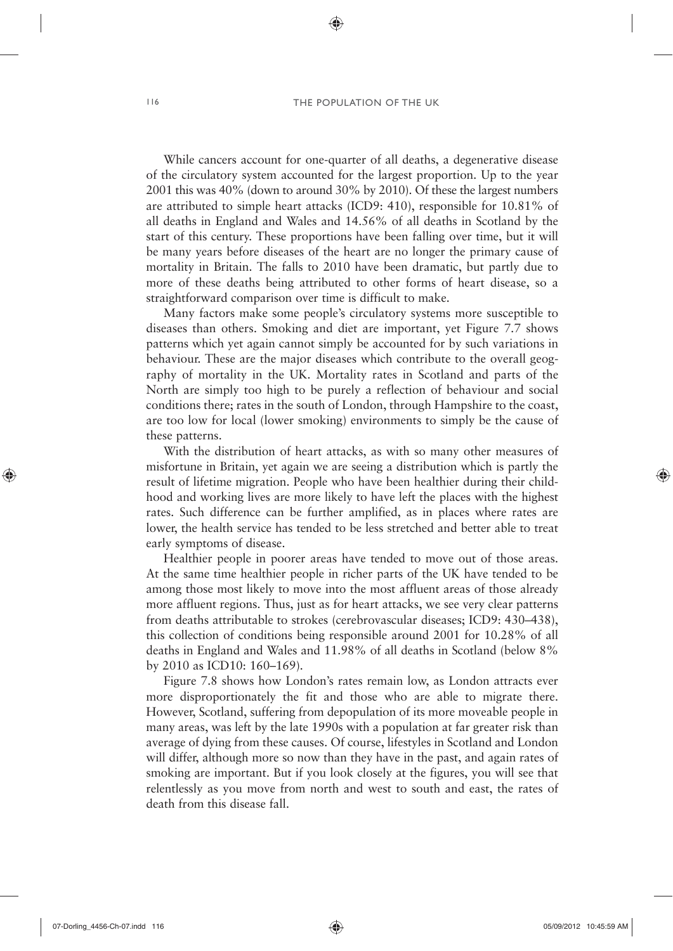#### 116 THE POPULATION OF THE UK

⊕

While cancers account for one-quarter of all deaths, a degenerative disease of the circulatory system accounted for the largest proportion. Up to the year 2001 this was 40% (down to around 30% by 2010). Of these the largest numbers are attributed to simple heart attacks (ICD9: 410), responsible for 10.81% of all deaths in England and Wales and 14.56% of all deaths in Scotland by the start of this century. These proportions have been falling over time, but it will be many years before diseases of the heart are no longer the primary cause of mortality in Britain. The falls to 2010 have been dramatic, but partly due to more of these deaths being attributed to other forms of heart disease, so a straightforward comparison over time is difficult to make.

Many factors make some people's circulatory systems more susceptible to diseases than others. Smoking and diet are important, yet Figure 7.7 shows patterns which yet again cannot simply be accounted for by such variations in behaviour. These are the major diseases which contribute to the overall geography of mortality in the UK. Mortality rates in Scotland and parts of the North are simply too high to be purely a reflection of behaviour and social conditions there; rates in the south of London, through Hampshire to the coast, are too low for local (lower smoking) environments to simply be the cause of these patterns.

With the distribution of heart attacks, as with so many other measures of misfortune in Britain, yet again we are seeing a distribution which is partly the result of lifetime migration. People who have been healthier during their childhood and working lives are more likely to have left the places with the highest rates. Such difference can be further amplified, as in places where rates are lower, the health service has tended to be less stretched and better able to treat early symptoms of disease.

Healthier people in poorer areas have tended to move out of those areas. At the same time healthier people in richer parts of the UK have tended to be among those most likely to move into the most affluent areas of those already more affluent regions. Thus, just as for heart attacks, we see very clear patterns from deaths attributable to strokes (cerebrovascular diseases; ICD9: 430–438), this collection of conditions being responsible around 2001 for 10.28% of all deaths in England and Wales and 11.98% of all deaths in Scotland (below 8% by 2010 as ICD10: 160–169).

Figure 7.8 shows how London's rates remain low, as London attracts ever more disproportionately the fit and those who are able to migrate there. However, Scotland, suffering from depopulation of its more moveable people in many areas, was left by the late 1990s with a population at far greater risk than average of dying from these causes. Of course, lifestyles in Scotland and London will differ, although more so now than they have in the past, and again rates of smoking are important. But if you look closely at the figures, you will see that relentlessly as you move from north and west to south and east, the rates of death from this disease fall.

◈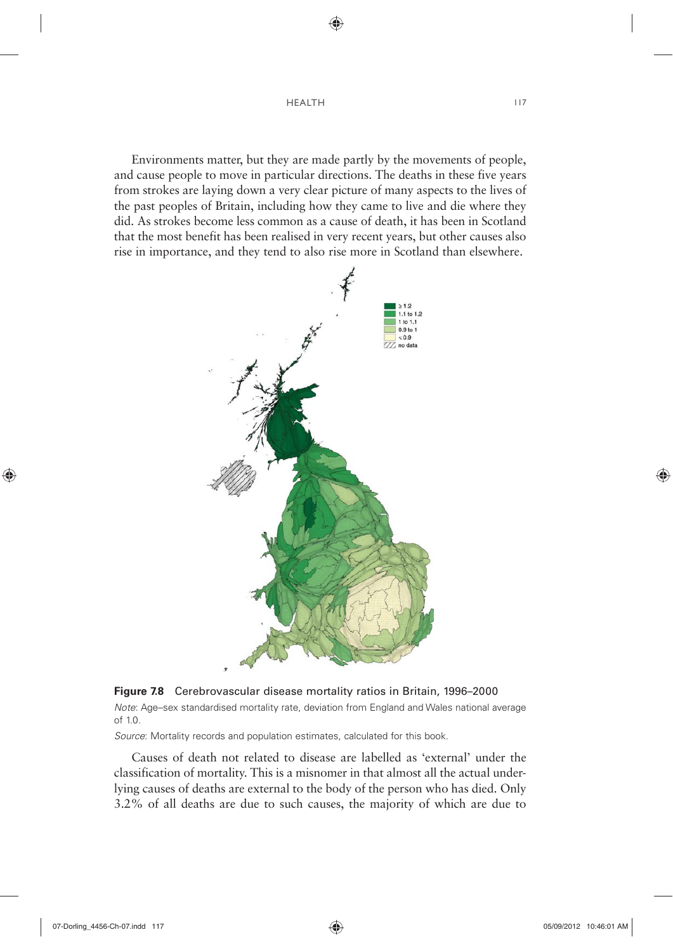♠

Environments matter, but they are made partly by the movements of people, and cause people to move in particular directions. The deaths in these five years from strokes are laying down a very clear picture of many aspects to the lives of the past peoples of Britain, including how they came to live and die where they did. As strokes become less common as a cause of death, it has been in Scotland that the most benefit has been realised in very recent years, but other causes also rise in importance, and they tend to also rise more in Scotland than elsewhere.





Source: Mortality records and population estimates, calculated for this book.

Causes of death not related to disease are labelled as 'external' under the classification of mortality. This is a misnomer in that almost all the actual underlying causes of deaths are external to the body of the person who has died. Only 3.2% of all deaths are due to such causes, the majority of which are due to

◈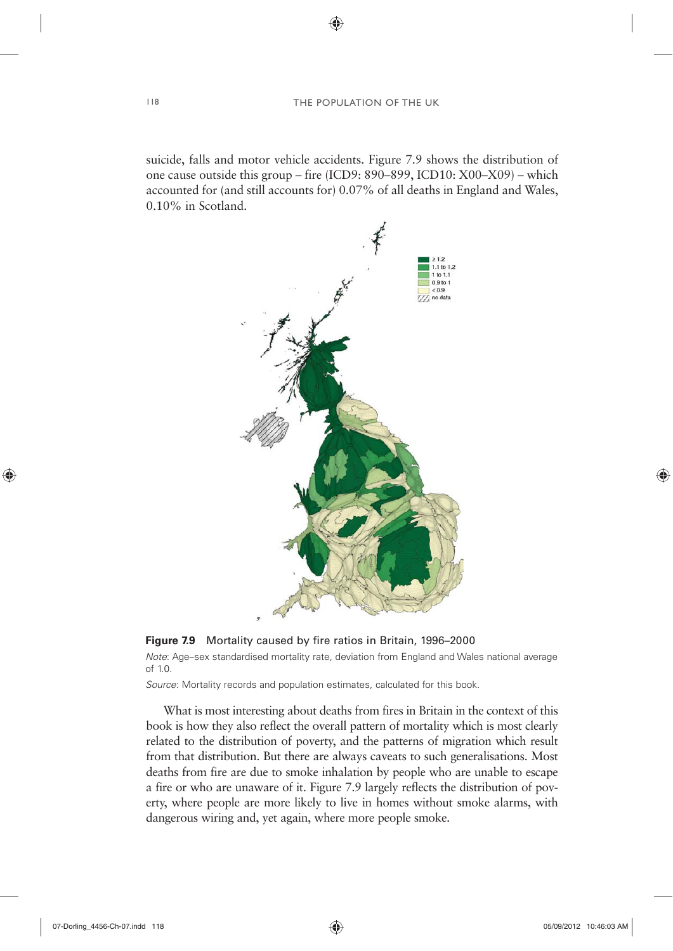suicide, falls and motor vehicle accidents. Figure 7.9 shows the distribution of one cause outside this group – fire (ICD9: 890–899, ICD10: X00–X09) – which accounted for (and still accounts for) 0.07% of all deaths in England and Wales, 0.10% in Scotland.



**Figure 7.9** Mortality caused by fire ratios in Britain, 1996–2000 Note: Age–sex standardised mortality rate, deviation from England and Wales national average of 1.0.

Source: Mortality records and population estimates, calculated for this book.

What is most interesting about deaths from fires in Britain in the context of this book is how they also reflect the overall pattern of mortality which is most clearly related to the distribution of poverty, and the patterns of migration which result from that distribution. But there are always caveats to such generalisations. Most deaths from fire are due to smoke inhalation by people who are unable to escape a fire or who are unaware of it. Figure 7.9 largely reflects the distribution of poverty, where people are more likely to live in homes without smoke alarms, with dangerous wiring and, yet again, where more people smoke.

◈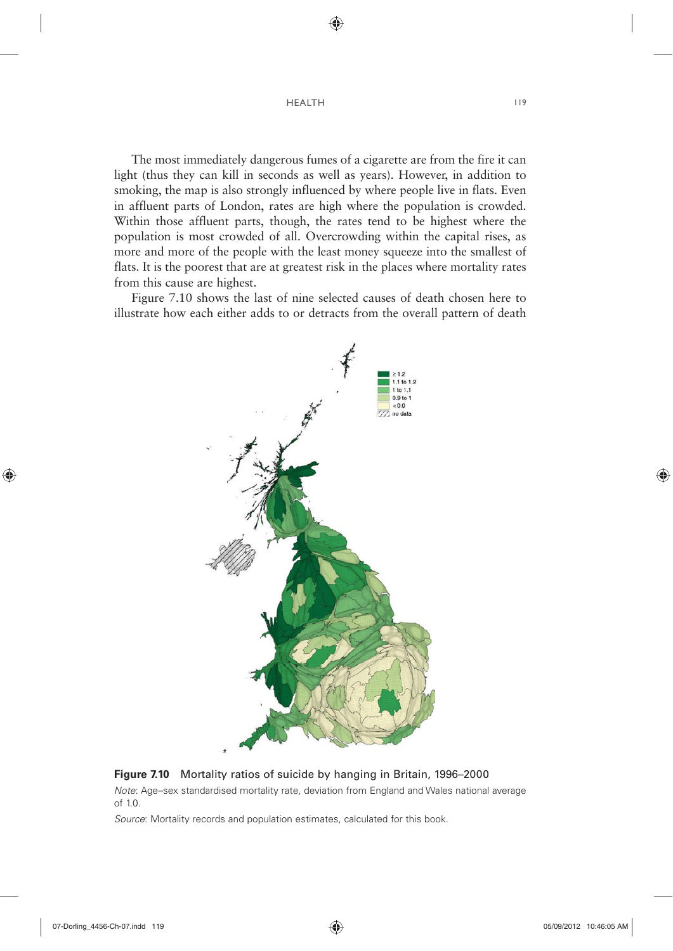♠

The most immediately dangerous fumes of a cigarette are from the fire it can light (thus they can kill in seconds as well as years). However, in addition to smoking, the map is also strongly influenced by where people live in flats. Even in affluent parts of London, rates are high where the population is crowded. Within those affluent parts, though, the rates tend to be highest where the population is most crowded of all. Overcrowding within the capital rises, as more and more of the people with the least money squeeze into the smallest of flats. It is the poorest that are at greatest risk in the places where mortality rates from this cause are highest.

Figure 7.10 shows the last of nine selected causes of death chosen here to illustrate how each either adds to or detracts from the overall pattern of death



**Figure 7.10** Mortality ratios of suicide by hanging in Britain, 1996–2000

Note: Age–sex standardised mortality rate, deviation from England and Wales national average of 1.0.

Source: Mortality records and population estimates, calculated for this book.

◈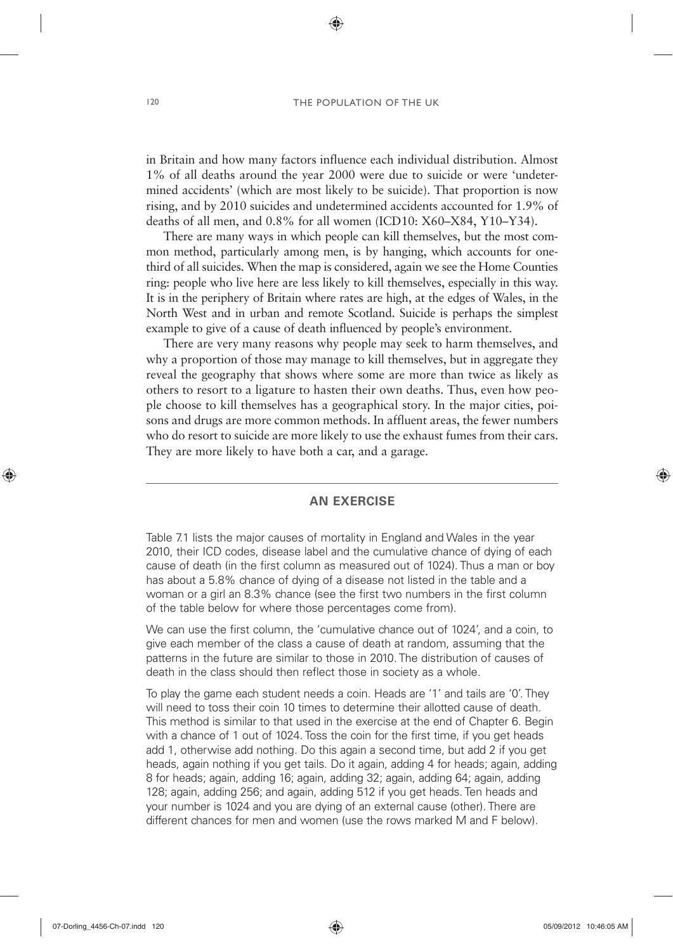#### 120 THE POPULATION OF THE UK

◈

in Britain and how many factors influence each individual distribution. Almost 1% of all deaths around the year 2000 were due to suicide or were 'undetermined accidents' (which are most likely to be suicide). That proportion is now rising, and by 2010 suicides and undetermined accidents accounted for 1.9% of deaths of all men, and 0.8% for all women (ICD10: X60–X84, Y10–Y34).

There are many ways in which people can kill themselves, but the most common method, particularly among men, is by hanging, which accounts for onethird of all suicides. When the map is considered, again we see the Home Counties ring: people who live here are less likely to kill themselves, especially in this way. It is in the periphery of Britain where rates are high, at the edges of Wales, in the North West and in urban and remote Scotland. Suicide is perhaps the simplest example to give of a cause of death influenced by people's environment.

There are very many reasons why people may seek to harm themselves, and why a proportion of those may manage to kill themselves, but in aggregate they reveal the geography that shows where some are more than twice as likely as others to resort to a ligature to hasten their own deaths. Thus, even how people choose to kill themselves has a geographical story. In the major cities, poisons and drugs are more common methods. In affluent areas, the fewer numbers who do resort to suicide are more likely to use the exhaust fumes from their cars. They are more likely to have both a car, and a garage.

#### **AN EXERCISE**

Table 7.1 lists the major causes of mortality in England and Wales in the year 2010, their ICD codes, disease label and the cumulative chance of dying of each cause of death (in the first column as measured out of 1024). Thus a man or boy has about a 5.8% chance of dying of a disease not listed in the table and a woman or a girl an 8.3% chance (see the first two numbers in the first column of the table below for where those percentages come from).

We can use the first column, the 'cumulative chance out of 1024', and a coin, to give each member of the class a cause of death at random, assuming that the patterns in the future are similar to those in 2010. The distribution of causes of death in the class should then reflect those in society as a whole.

To play the game each student needs a coin. Heads are '1' and tails are '0'. They will need to toss their coin 10 times to determine their allotted cause of death. This method is similar to that used in the exercise at the end of Chapter 6. Begin with a chance of 1 out of 1024. Toss the coin for the first time, if you get heads add 1, otherwise add nothing. Do this again a second time, but add 2 if you get heads, again nothing if you get tails. Do it again, adding 4 for heads; again, adding 8 for heads; again, adding 16; again, adding 32; again, adding 64; again, adding 128; again, adding 256; and again, adding 512 if you get heads. Ten heads and your number is 1024 and you are dying of an external cause (other). There are different chances for men and women (use the rows marked M and F below).

◈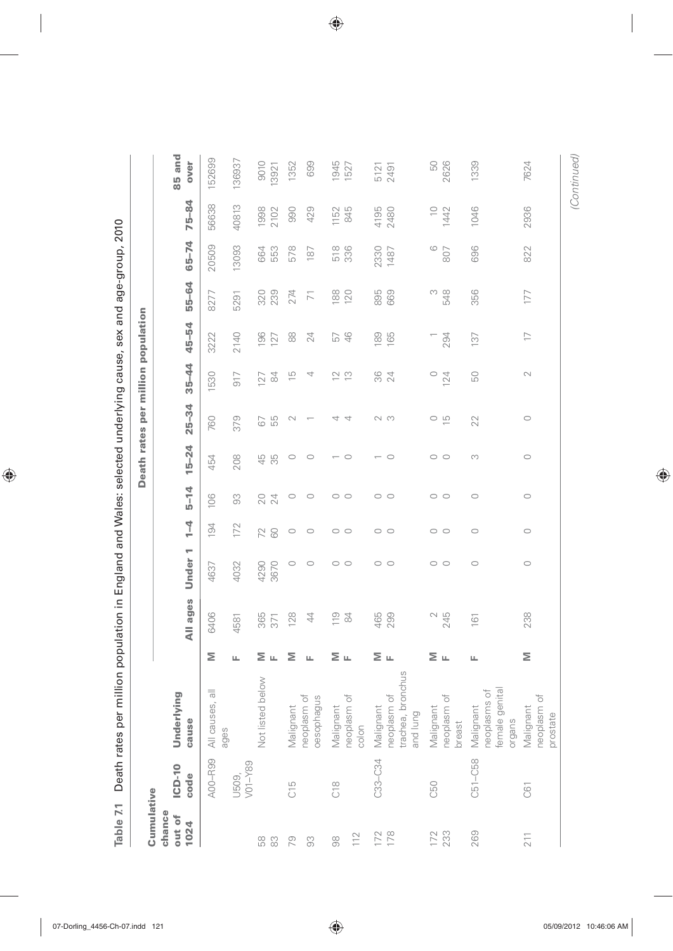Table 7.1 Death rates per million population in England and Wales: selected underlying cause, sex and age-group, 2010 **Table 7.1** Death rates per million population in England and Wales: selected underlying cause, sex and age-group, 2010

 $\bigoplus$ 

 $\overline{\phantom{a}}$ 

| Cumulative               |                      |                                                           |        |                                  |                    |                    |                    |                    |                |                                   | Death rates per million population |                |                |                     |                |
|--------------------------|----------------------|-----------------------------------------------------------|--------|----------------------------------|--------------------|--------------------|--------------------|--------------------|----------------|-----------------------------------|------------------------------------|----------------|----------------|---------------------|----------------|
| chance<br>out of<br>1024 | ICD-10<br>code       | Underlying<br>cause                                       | J,     | All ages                         | ٣<br>Under         | $\frac{1}{4}$      | $5 - 14$           | $15 - 24$          | $25 - 34$      | $35 - 44$                         | 45-54                              | 55-64          | $65 - 74$      | 75-84               | 85 and<br>over |
|                          | A00-R99              | All causes, all                                           | Σ      | 6406                             | 4637               | 194                | 106                | 454                | 760            | 530                               | 3222                               | 8277           | 20509          | 56638               | 152699         |
|                          | $V01 - Y89$<br>U509, | ages                                                      | щ      | 4581                             | 4032               | 172                | 93                 | 208                | 379            | 917                               | 2140                               | 5291           | 13093          | 40813               | 136937         |
| 89<br>8                  |                      | Not listed below                                          | ≂      | 365<br>371                       | 4290<br>3670       | 72<br>60           | 20<br>24           | 45<br>55           | 55<br>67       | 84<br> 27                         | 196<br>127                         | 320<br>239     | 664<br>553     | 1998<br>2102        | 9010<br>13921  |
| 79                       | <b>G15</b>           | Malignant                                                 | Σ      | 128                              | $\circ$            | $\circ$            | $\circ$            | $\circ$            | $\sim$         | $\overline{5}$                    | 88                                 | 274            | 578            | 990                 | 1352           |
| SS                       |                      | neoplasm of<br>oesophagus                                 |        | $\Rightarrow$                    | $\circ$            | $\circ$            | $\circ$            | $\circ$            | $\overline{ }$ | 4                                 | 24                                 | $\overline{7}$ | 187            | 429                 | 699            |
| 112<br>88                | $\frac{8}{2}$        | neoplasm of<br>Malignant<br>colon                         | Σ      | $\frac{10}{10}$<br>$\frac{8}{2}$ | $\circ$<br>$\circ$ | $\circ$<br>$\circ$ | $\circ$<br>$\circ$ | $\circ$            | 4<br>4         | $\supseteq$<br>$\widetilde{\Box}$ | $\frac{1}{2}$<br>57                | 188<br>120     | 518<br>336     | 1152<br>845         | 1945<br>1527   |
| 172<br>178               | C33-C34              | trachea, bronchus<br>neoplasm of<br>Malignant<br>and lung | Σ<br>щ | 465<br>299                       | $\circ$<br>$\circ$ | $\circ$ $\circ$    | $\circ$<br>$\circ$ | $\circ$            | 2<br>3         | 36<br>24                          | 189<br>165                         | 669<br>895     | 2330<br>1487   | 4195<br>2480        | 5121<br>2491   |
| 172<br>233               | <b>C50</b>           | neoplasm of<br>Malignant<br>breast                        | Σ<br>ட | 245<br>$\sim$                    | $\circ$<br>$\circ$ | $\circ$<br>$\circ$ | $\circ$ $\circ$    | $\circ$<br>$\circ$ | $\frac{1}{2}$  | $\circ$<br>124                    | 294                                | 548<br>S       | $\circ$<br>807 | $\subseteq$<br>1442 | SО<br>2626     |
| 269                      | C51-C58              | female genital<br>neoplasms of<br>Malignant<br>organs     | щ      | 161                              | $\circ$            | $\circ$            | $\circ$            | Μ                  | 22             | 50                                | 137                                | 356            | 696            | 1046                | 1339           |
| 211                      | <b>C61</b>           | neoplasm of<br>Malignant<br>prostate                      | Σ      | 238                              | $\circ$            | $\circ$            | $\circ$            | $\circ$            | $\circ$        | $\sim$                            | $\Box$                             | 177            | 822            | 2936                | 7624           |

 $\bigoplus$ 

(Continued) (Continued)

 $\bigoplus$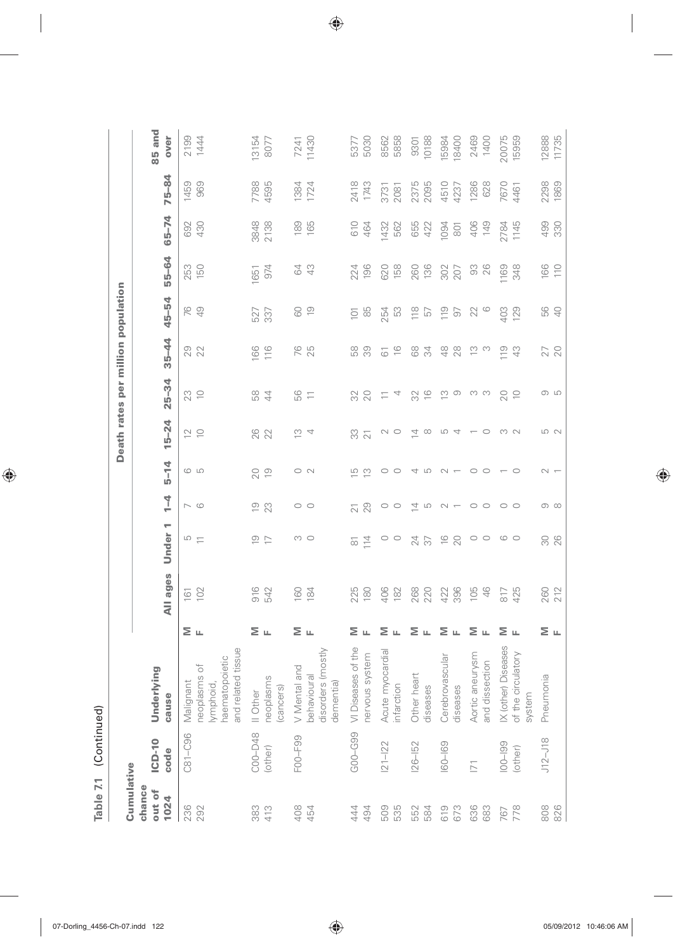Table 7.1 (Continued) **Table 7.1** (Continued)

 $\bigoplus$ 

|                          |                        |                                                                                |      |                |                                      |                    |                    |                                        | Death rates per million population |                                                    |                  |                 |                   |              |                |
|--------------------------|------------------------|--------------------------------------------------------------------------------|------|----------------|--------------------------------------|--------------------|--------------------|----------------------------------------|------------------------------------|----------------------------------------------------|------------------|-----------------|-------------------|--------------|----------------|
| Cumulative               |                        |                                                                                |      |                |                                      |                    |                    |                                        |                                    |                                                    |                  |                 |                   |              |                |
| chance<br>out of<br>1024 | ICD-10<br>code         | Underlying<br>cause                                                            |      | All ages       | ↽<br>Under                           | $1 - 4$            | $5 - 14$           | $15 - 24$                              | $25 - 34$                          | $35 - 44$                                          | 45-54            | 55-64           | 65-74             | 75-84        | 85 and<br>over |
| 236<br>292               | $C81 - C96$            | and related tissue<br>haematopoietic<br>neoplasms of<br>Malignant<br>lymphoid, | ∑ ⊔  | $161$<br>$102$ | $\frac{1}{\sqrt{2}}$                 | $\sim$ $\circ$     | G IO               | $\frac{1}{2}$ $\frac{1}{2}$            | 23                                 | 29<br>22                                           | <b>PS</b>        | 253<br>150      | 430<br>692        | 969<br>1459  | 2199<br>1444   |
| 383<br>413               | C00-D48<br>(other)     | neoplasms<br>(cancers)<br>Il Other                                             | Σ μ  | 916<br>542     | $\frac{10}{10}$                      | <b>P</b> 23        | 200                | 26<br>22                               | 58<br>$\overline{4}$               | 166                                                | 337<br>527       | 974<br>1651     | 3848<br>2138      | 7788<br>4595 | 13154<br>8077  |
| 408<br>454               | F00-F99                | disorders (mostly<br>V Mental and<br>behavioural<br>dementia)                  | ⋝    | 160<br>184     | $\circ$ $\circ$                      | $\circ$            | $\circ$ $\circ$    | $\widetilde{\omega}$<br>$\overline{4}$ | $56 =$                             | <b>PG</b><br>25                                    | <b>CO</b> 2      | 643             | $189$<br>165      | 1384<br>1724 | 7241<br>11430  |
| 444<br>494               | $G00 - G99$            | VI Diseases of the<br>nervous system                                           | ⋝ .∟ | 180<br>225     | $rac{11}{14}$                        | $\frac{2}{2}$      | $\frac{10}{10}$ m  | 3<br>3<br>2<br>2                       | 320                                | 89<br>39                                           | 89<br><b>IOL</b> | 224<br>196      | <b>610</b><br>464 | 2418<br>1743 | 5030<br>5377   |
| 509<br>535               | $ 21 - 22$             | Acute myocardial<br>infarction                                                 | ⋝ᇿ   | 406<br>182     | $\circ$ $\circ$                      | $\circ$ $\circ$    | $\circ$ $\circ$    | $\sim$ $\circ$                         | 4<br>$\rightleftharpoons$          | $\cong$<br>$\overline{\odot}$                      | 254<br>53        | 620<br>158      | 1432<br>562       | 2081<br>3731 | 8562<br>5858   |
| 552<br>584               | $126 - 52$             | Other heart<br>diseases                                                        | ⋝ ա. | 268<br>220     | 24<br>37                             | $\overline{4}$ ro  | 4 ro               | $\overline{4}$<br>$\infty$             | 3200                               | 684                                                | $\frac{18}{57}$  | 260<br>136      | 655<br>422        | 2375<br>2095 | 10188<br>9301  |
| 619<br>673               | $160 - 169$            | Cerebrovascular<br>diseases                                                    |      | 396<br>422     | $\overset{\textstyle\circ}{=}$<br>20 | $\sim$             | $\sim$             | S<br>4                                 | $\frac{1}{10}$ o                   | 480                                                | $119$<br>$97$    | 302<br>207      | 1094<br>$801$     | 4510<br>4237 | 15984<br>18400 |
| 636<br>683               | 171                    | Aortic aneurysm<br>and dissection                                              | ⋝ ս. | 105<br>46      | $\circ$ $\circ$                      | $\circ$<br>$\circ$ | $\circ$<br>$\circ$ | $\circ$                                | က က                                | $\frac{1}{2}$ co                                   | $\circ$<br>22    | <b>93</b><br>26 | 406<br>149        | 1286<br>628  | 2469<br>1400   |
| 778<br>767               | $ 00 - 199$<br>(other) | IX (other) Diseases<br>of the circulatory<br>system                            | ⋝ ս  | 425<br>817     | $\circlearrowright$<br>$\circ$       | $\circ$<br>$\circ$ | $\circ$            | S<br>$\sim$                            | 20<br>$\subseteq$                  | $\frac{10}{10}$<br>$\stackrel{\leftrightarrow}{+}$ | 403<br>129       | 348<br>1169     | 1145<br>2784      | 7670<br>4461 | 20075<br>15959 |
| 808<br>826               | $J12-J18$              | Pneumonia                                                                      | 5    | 260<br>212     | 30<br>26                             | တ ထ                | $\sim$ $\sim$      | 5<br>2<br>2                            | o ro                               | 27                                                 | 50 4             | $166$<br>110    | 499<br>330        | 2298<br>1869 | 12888<br>11735 |

 $\bigoplus$ 

07-Dorling\_4456-Ch-07.indd 122 05/09/2012 10:46:06 AM

 $\bigoplus$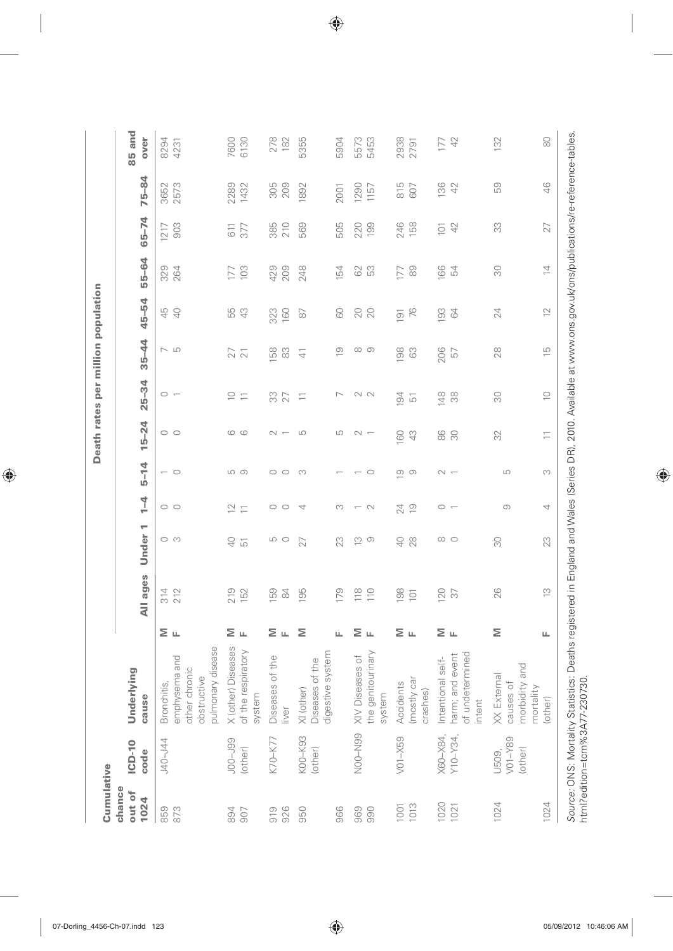$\bigoplus$ 

| Cumulative               |                                 |                                                                                                                                                                                       |     |                                |                                  |                                     |                          |                                        | Death rates per million population           |                                 |                    |                         |                          |              |                |
|--------------------------|---------------------------------|---------------------------------------------------------------------------------------------------------------------------------------------------------------------------------------|-----|--------------------------------|----------------------------------|-------------------------------------|--------------------------|----------------------------------------|----------------------------------------------|---------------------------------|--------------------|-------------------------|--------------------------|--------------|----------------|
| chance<br>out of<br>1024 | ICD-10<br>code                  | Underlying<br>cause                                                                                                                                                                   |     | All ages                       | ↽<br>Under                       | $1 - 4$                             | $5 - 14$                 | $15 - 24$                              | $25 - 34$                                    | $35 - 44$                       | 45-54              | 55-64                   | $65 - 74$                | 75-84        | 85 and<br>over |
| 859<br>873               | J40-J44                         | pulmonary disease<br>emphysema and<br>other chronic<br>obstructive<br>Bronchitis,                                                                                                     | Σ μ | $314$<br>212                   | O M                              | $\circ$ $\circ$                     | $\overline{\phantom{0}}$ | $\circ$                                | $\circ$ $\sim$                               | <b>75</b>                       | 40                 | 329<br>264              | 903<br>1217              | 2573<br>3652 | 8294<br>4231   |
| 894<br>907               | <b>J00-J99</b><br>(other)       | X (other) Diseases<br>of the respiratory<br>system                                                                                                                                    | ⋝ ս | 219                            | $\overline{0}$<br>$\overline{5}$ | $\approx$ $\approx$                 | ပြော (၁)                 | $\circ$ $\circ$                        | $\supseteq$<br>$\overleftarrow{\phantom{a}}$ | 27                              | 55<br>43           | 103<br>177              | $\overline{6}$ 11<br>377 | 2289<br>1432 | 6130<br>7600   |
| 926<br>919               | K70-K77                         | Diseases of the<br>liver                                                                                                                                                              | 5 ա | 159<br>$\approx$               | R<br>O                           | $\circ$<br>$\circ$                  | $\circ$<br>$\circ$       | $\sim$                                 | 33<br>27                                     | 69<br>$\stackrel{\sim}{\infty}$ | 323<br>160         | 429<br>209              | 385<br>210               | 305<br>209   | 278<br>182     |
| 950                      | K00-K93<br>(other)              | digestive system<br>Diseases of the<br>XI (other)                                                                                                                                     | ⋝   | 195                            | 27                               | 4                                   | S                        | S                                      | $\rightleftharpoons$                         | $\overline{4}$                  | $\overline{\circ}$ | 248                     | 569                      | 1892         | 5355           |
| 966                      |                                 |                                                                                                                                                                                       | H.  | 179                            | 23                               | S                                   |                          | S                                      | $\overline{\phantom{0}}$                     | $\overline{0}$                  | $\odot$            | 154                     | 505                      | 2001         | 5904           |
| 969<br>990               | <b>NOO-N99</b>                  | the genitourinary<br>XIV Diseases of<br>system                                                                                                                                        | 5 ս | $\frac{8}{11}$<br>$\approx 10$ | $\frac{1}{10}$ o                 | $\sim$                              | $\circ$                  | $\sim$ $\sim$                          | $\begin{matrix} 2 & 1 \\ 1 & 1 \end{matrix}$ | ထ တ                             | 20                 | 62<br>53                | 220<br>199               | 1290<br>1157 | 5573<br>5453   |
| 1013<br>1001             | $V01 - X59$                     | (mostly car<br>Accidents<br>crashes)                                                                                                                                                  | ⋝ ս | 198<br>$\sum$                  | 28<br>$\exists$                  | 24.9                                | တ တ                      | $\stackrel{\leftrightarrow}{+}$<br>160 | 194<br>51                                    | 198<br>$\mathbb{S}^3$           | $191$<br>76        | 89<br>177               | 246<br>158               | 815<br>607   | 2938<br>2791   |
| 1020<br>1021             | X60-X84,<br>$Y10-Y34$ ,         | of undetermined<br>harm; and event<br>Intentional self-<br>intent                                                                                                                     | 5 ս | 120<br>$\overline{37}$         | $\infty$ $\circ$                 | $\circ$<br>$\overline{\phantom{0}}$ | $\sim$ $-$               | 86<br>30                               | 148<br>$\frac{8}{3}$                         | 206<br>$\sqrt{2}$               | 193<br>$\Omega$    | 166<br>54               | 42<br>$\sum$             | 136<br>42    | 42<br>177      |
| 1024                     | $V01 - Y89$<br>(other)<br>U509, | morbidity and<br>XX External<br>causes of<br>mortality                                                                                                                                | Σ   | 26                             | 30                               | $\circ$                             | S                        | 32                                     | 30                                           | 28                              | 24                 | $\overline{\mathrm{S}}$ | SS                       | 59           | 132            |
| 1024                     |                                 | (other)                                                                                                                                                                               |     | $\widetilde{\mathbb{C}}$       | 23                               | 4                                   | $\infty$                 | $\rightleftharpoons$                   | $\supseteq$                                  | $\overline{5}$                  | $\supseteq$        | $\overline{4}$          | 27                       | 46           | $\odot$        |
| . 11: ام ۱۵ مسمه         |                                 | Source: ONS: Mortality Statistics: Deaths registered in England and Wales (Series DR), 2010. Available at www.ons.gov.uk/ons/publications/re-reference-tables<br>UCLUCU LL V C /0 WW+ |     |                                |                                  |                                     |                          |                                        |                                              |                                 |                    |                         |                          |              |                |

 $\bigoplus$ 

html?edition=tcm%3A77-230730. html?edition=tcm%3A77-230730.

 $\bigoplus$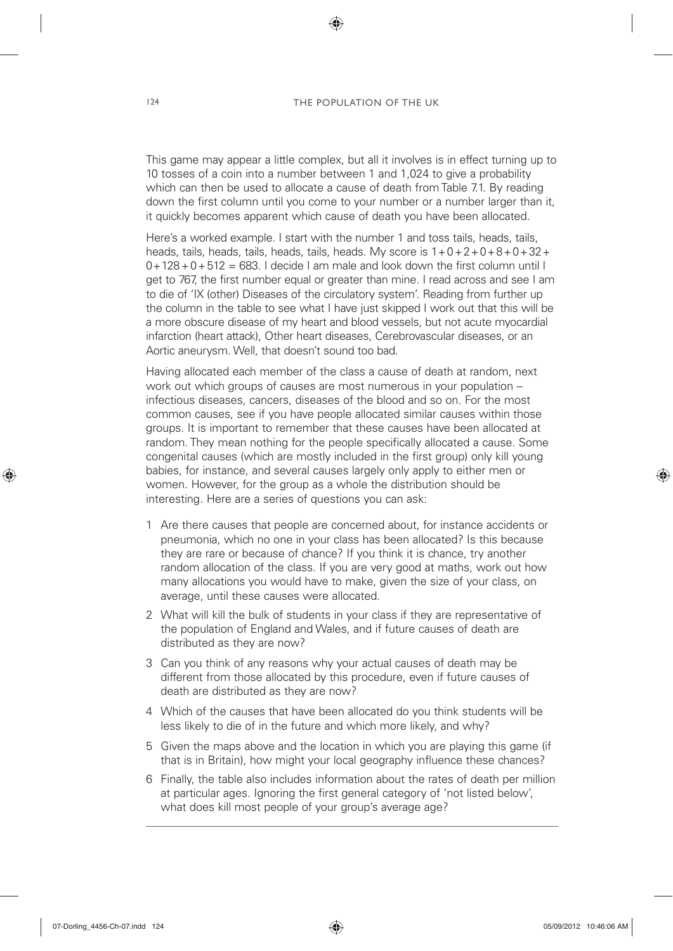This game may appear a little complex, but all it involves is in effect turning up to 10 tosses of a coin into a number between 1 and 1,024 to give a probability which can then be used to allocate a cause of death from Table 7.1. By reading down the first column until you come to your number or a number larger than it, it quickly becomes apparent which cause of death you have been allocated.

Here's a worked example. I start with the number 1 and toss tails, heads, tails, heads, tails, heads, tails, heads, tails, heads. My score is 1+0+2+0+8+0+32+  $0+128+0+512 = 683$ . I decide I am male and look down the first column until I get to 767, the first number equal or greater than mine. I read across and see I am to die of 'IX (other) Diseases of the circulatory system'. Reading from further up the column in the table to see what I have just skipped I work out that this will be a more obscure disease of my heart and blood vessels, but not acute myocardial infarction (heart attack), Other heart diseases, Cerebrovascular diseases, or an Aortic aneurysm. Well, that doesn't sound too bad.

Having allocated each member of the class a cause of death at random, next work out which groups of causes are most numerous in your population – infectious diseases, cancers, diseases of the blood and so on. For the most common causes, see if you have people allocated similar causes within those groups. It is important to remember that these causes have been allocated at random. They mean nothing for the people specifically allocated a cause. Some congenital causes (which are mostly included in the first group) only kill young babies, for instance, and several causes largely only apply to either men or women. However, for the group as a whole the distribution should be interesting. Here are a series of questions you can ask:

- 1 Are there causes that people are concerned about, for instance accidents or pneumonia, which no one in your class has been allocated? Is this because they are rare or because of chance? If you think it is chance, try another random allocation of the class. If you are very good at maths, work out how many allocations you would have to make, given the size of your class, on average, until these causes were allocated.
- 2 What will kill the bulk of students in your class if they are representative of the population of England and Wales, and if future causes of death are distributed as they are now?
- 3 Can you think of any reasons why your actual causes of death may be different from those allocated by this procedure, even if future causes of death are distributed as they are now?
- 4 Which of the causes that have been allocated do you think students will be less likely to die of in the future and which more likely, and why?
- 5 Given the maps above and the location in which you are playing this game (if that is in Britain), how might your local geography influence these chances?
- 6 Finally, the table also includes information about the rates of death per million at particular ages. Ignoring the first general category of 'not listed below', what does kill most people of your group's average age?

◈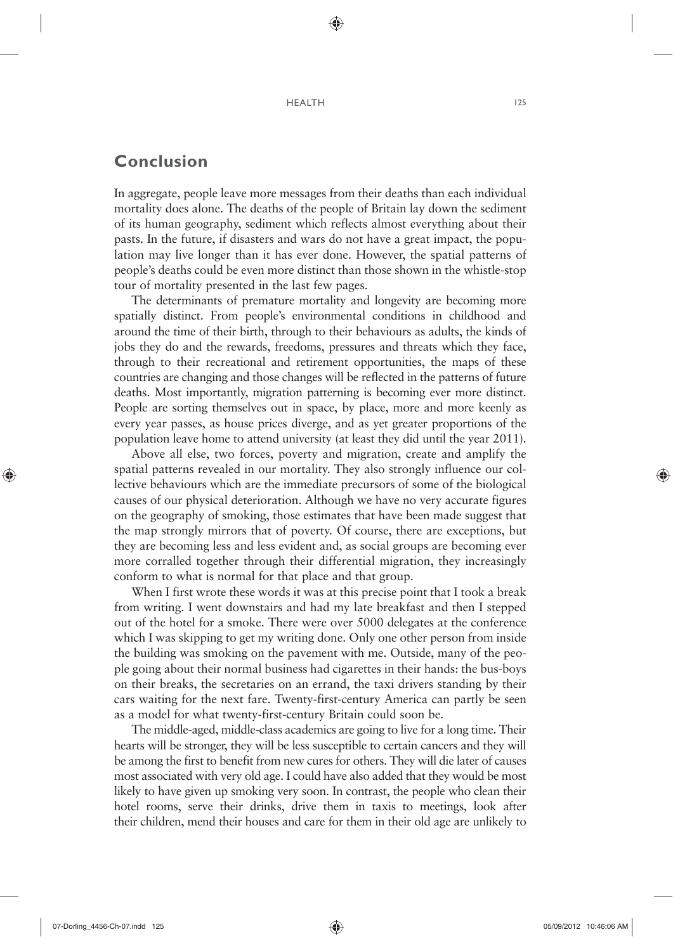♠

### **Conclusion**

In aggregate, people leave more messages from their deaths than each individual mortality does alone. The deaths of the people of Britain lay down the sediment of its human geography, sediment which reflects almost everything about their pasts. In the future, if disasters and wars do not have a great impact, the population may live longer than it has ever done. However, the spatial patterns of people's deaths could be even more distinct than those shown in the whistle-stop tour of mortality presented in the last few pages.

The determinants of premature mortality and longevity are becoming more spatially distinct. From people's environmental conditions in childhood and around the time of their birth, through to their behaviours as adults, the kinds of jobs they do and the rewards, freedoms, pressures and threats which they face, through to their recreational and retirement opportunities, the maps of these countries are changing and those changes will be reflected in the patterns of future deaths. Most importantly, migration patterning is becoming ever more distinct. People are sorting themselves out in space, by place, more and more keenly as every year passes, as house prices diverge, and as yet greater proportions of the population leave home to attend university (at least they did until the year 2011).

Above all else, two forces, poverty and migration, create and amplify the spatial patterns revealed in our mortality. They also strongly influence our collective behaviours which are the immediate precursors of some of the biological causes of our physical deterioration. Although we have no very accurate figures on the geography of smoking, those estimates that have been made suggest that the map strongly mirrors that of poverty. Of course, there are exceptions, but they are becoming less and less evident and, as social groups are becoming ever more corralled together through their differential migration, they increasingly conform to what is normal for that place and that group.

When I first wrote these words it was at this precise point that I took a break from writing. I went downstairs and had my late breakfast and then I stepped out of the hotel for a smoke. There were over 5000 delegates at the conference which I was skipping to get my writing done. Only one other person from inside the building was smoking on the pavement with me. Outside, many of the people going about their normal business had cigarettes in their hands: the bus-boys on their breaks, the secretaries on an errand, the taxi drivers standing by their cars waiting for the next fare. Twenty-first-century America can partly be seen as a model for what twenty-first-century Britain could soon be.

The middle-aged, middle-class academics are going to live for a long time. Their hearts will be stronger, they will be less susceptible to certain cancers and they will be among the first to benefit from new cures for others. They will die later of causes most associated with very old age. I could have also added that they would be most likely to have given up smoking very soon. In contrast, the people who clean their hotel rooms, serve their drinks, drive them in taxis to meetings, look after their children, mend their houses and care for them in their old age are unlikely to

◈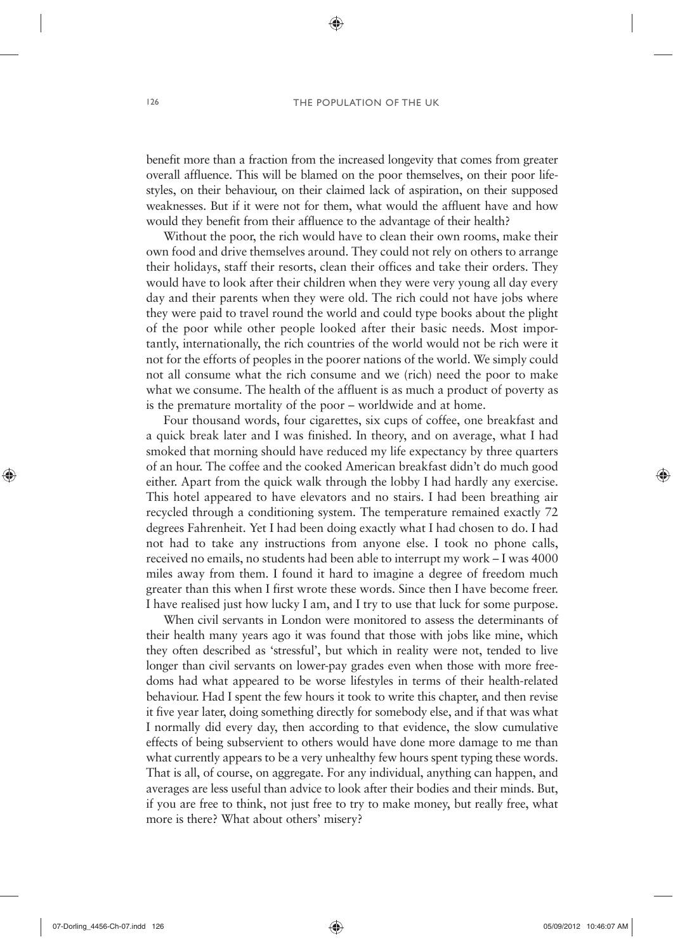benefit more than a fraction from the increased longevity that comes from greater overall affluence. This will be blamed on the poor themselves, on their poor lifestyles, on their behaviour, on their claimed lack of aspiration, on their supposed weaknesses. But if it were not for them, what would the affluent have and how would they benefit from their affluence to the advantage of their health?

Without the poor, the rich would have to clean their own rooms, make their own food and drive themselves around. They could not rely on others to arrange their holidays, staff their resorts, clean their offices and take their orders. They would have to look after their children when they were very young all day every day and their parents when they were old. The rich could not have jobs where they were paid to travel round the world and could type books about the plight of the poor while other people looked after their basic needs. Most importantly, internationally, the rich countries of the world would not be rich were it not for the efforts of peoples in the poorer nations of the world. We simply could not all consume what the rich consume and we (rich) need the poor to make what we consume. The health of the affluent is as much a product of poverty as is the premature mortality of the poor – worldwide and at home.

Four thousand words, four cigarettes, six cups of coffee, one breakfast and a quick break later and I was finished. In theory, and on average, what I had smoked that morning should have reduced my life expectancy by three quarters of an hour. The coffee and the cooked American breakfast didn't do much good either. Apart from the quick walk through the lobby I had hardly any exercise. This hotel appeared to have elevators and no stairs. I had been breathing air recycled through a conditioning system. The temperature remained exactly 72 degrees Fahrenheit. Yet I had been doing exactly what I had chosen to do. I had not had to take any instructions from anyone else. I took no phone calls, received no emails, no students had been able to interrupt my work – I was 4000 miles away from them. I found it hard to imagine a degree of freedom much greater than this when I first wrote these words. Since then I have become freer. I have realised just how lucky I am, and I try to use that luck for some purpose.

When civil servants in London were monitored to assess the determinants of their health many years ago it was found that those with jobs like mine, which they often described as 'stressful', but which in reality were not, tended to live longer than civil servants on lower-pay grades even when those with more freedoms had what appeared to be worse lifestyles in terms of their health-related behaviour. Had I spent the few hours it took to write this chapter, and then revise it five year later, doing something directly for somebody else, and if that was what I normally did every day, then according to that evidence, the slow cumulative effects of being subservient to others would have done more damage to me than what currently appears to be a very unhealthy few hours spent typing these words. That is all, of course, on aggregate. For any individual, anything can happen, and averages are less useful than advice to look after their bodies and their minds. But, if you are free to think, not just free to try to make money, but really free, what more is there? What about others' misery?

◈